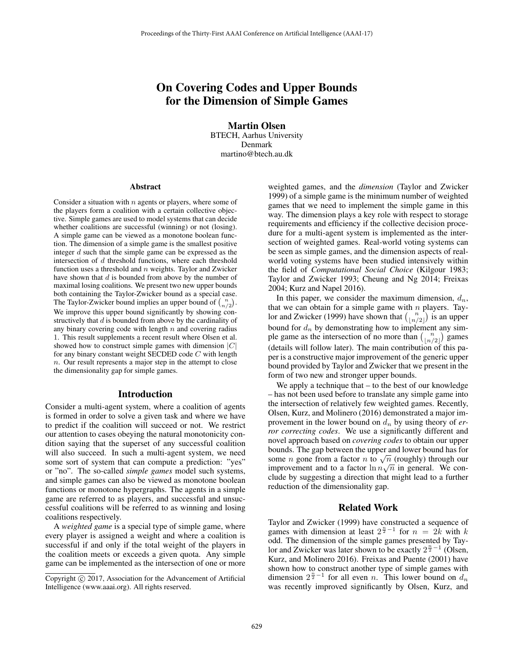# On Covering Codes and Upper Bounds for the Dimension of Simple Games

Martin Olsen BTECH, Aarhus University Denmark martino@btech.au.dk

#### Abstract

Consider a situation with  $n$  agents or players, where some of the players form a coalition with a certain collective objective. Simple games are used to model systems that can decide whether coalitions are successful (winning) or not (losing). A simple game can be viewed as a monotone boolean function. The dimension of a simple game is the smallest positive integer d such that the simple game can be expressed as the intersection of d threshold functions, where each threshold function uses a threshold and  $n$  weights. Taylor and Zwicker have shown that  $d$  is bounded from above by the number of maximal losing coalitions. We present two new upper bounds both containing the Taylor-Zwicker bound as a special case. The Taylor-Zwicker bound implies an upper bound of  $\binom{n}{n/2}$ . We improve this upper bound significantly by showing constructively that d is bounded from above by the cardinality of any binary covering code with length  $n$  and covering radius 1. This result supplements a recent result where Olsen et al. showed how to construct simple games with dimension  $|C|$ for any binary constant weight SECDED code  $C$  with length n. Our result represents a major step in the attempt to close the dimensionality gap for simple games.

#### Introduction

Consider a multi-agent system, where a coalition of agents is formed in order to solve a given task and where we have to predict if the coalition will succeed or not. We restrict our attention to cases obeying the natural monotonicity condition saying that the superset of any successful coalition will also succeed. In such a multi-agent system, we need some sort of system that can compute a prediction: "yes" or "no". The so-called *simple games* model such systems, and simple games can also be viewed as monotone boolean functions or monotone hypergraphs. The agents in a simple game are referred to as players, and successful and unsuccessful coalitions will be referred to as winning and losing coalitions respectively.

A *weighted game* is a special type of simple game, where every player is assigned a weight and where a coalition is successful if and only if the total weight of the players in the coalition meets or exceeds a given quota. Any simple game can be implemented as the intersection of one or more

weighted games, and the *dimension* (Taylor and Zwicker 1999) of a simple game is the minimum number of weighted games that we need to implement the simple game in this way. The dimension plays a key role with respect to storage requirements and efficiency if the collective decision procedure for a multi-agent system is implemented as the intersection of weighted games. Real-world voting systems can be seen as simple games, and the dimension aspects of realworld voting systems have been studied intensively within the field of *Computational Social Choice* (Kilgour 1983; Taylor and Zwicker 1993; Cheung and Ng 2014; Freixas 2004; Kurz and Napel 2016).

In this paper, we consider the maximum dimension,  $d_n$ , that we can obtain for a simple game with  $n$  players. Taylor and Zwicker (1999) have shown that  $\binom{n}{\lfloor n/2 \rfloor}$  is an upper bound for  $d_n$  by demonstrating how to implement any simple game as the intersection of no more than  $\binom{n}{\lfloor n/2 \rfloor}$  $\binom{n}{\lfloor n/2 \rfloor}$  games (details will follow later). The main contribution of this paper is a constructive major improvement of the generic upper bound provided by Taylor and Zwicker that we present in the form of two new and stronger upper bounds.

We apply a technique that – to the best of our knowledge – has not been used before to translate any simple game into the intersection of relatively few weighted games. Recently, Olsen, Kurz, and Molinero (2016) demonstrated a major improvement in the lower bound on  $d_n$  by using theory of  $er$ *ror correcting codes*. We use a significantly different and novel approach based on *covering codes* to obtain our upper bounds. The gap between the upper and lower bound has for some *n* gone from a factor *n* to  $\sqrt{n}$  (roughly) through our improvement and to a factor  $\ln n\sqrt{n}$  in general. We conclude by suggesting a direction that might lead to a further reduction of the dimensionality gap.

# Related Work

Taylor and Zwicker (1999) have constructed a sequence of games with dimension at least  $2^{\frac{n}{2}-1}$  for  $n = 2k$  with k odd. The dimension of the simple games presented by Taylor and Zwicker was later shown to be exactly  $2^{\frac{n}{2}-1}$  (Olsen, Kurz, and Molinero 2016). Freixas and Puente (2001) have shown how to construct another type of simple games with dimension  $2^{\frac{n}{2}-1}$  for all even *n*. This lower bound on  $d_n$ was recently improved significantly by Olsen, Kurz, and

Copyright  $\odot$  2017, Association for the Advancement of Artificial Intelligence (www.aaai.org). All rights reserved.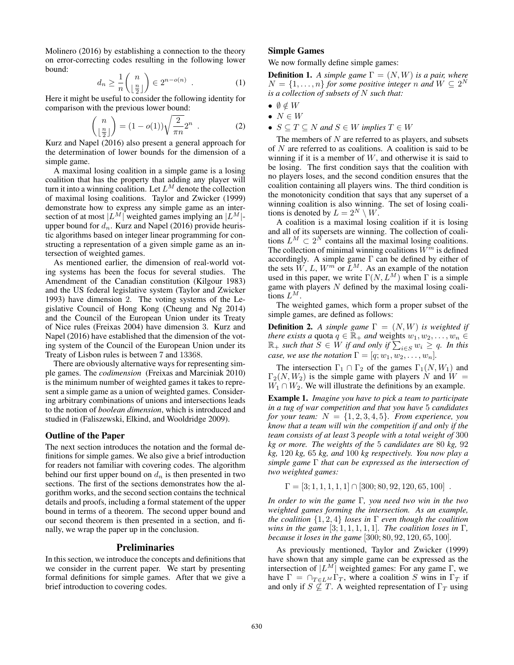Molinero (2016) by establishing a connection to the theory on error-correcting codes resulting in the following lower bound:

$$
d_n \ge \frac{1}{n} \binom{n}{\lfloor \frac{n}{2} \rfloor} \in 2^{n - o(n)} \quad . \tag{1}
$$

Here it might be useful to consider the following identity for comparison with the previous lower bound:

$$
\binom{n}{\lfloor \frac{n}{2} \rfloor} = (1 - o(1))\sqrt{\frac{2}{\pi n}} 2^n \tag{2}
$$

Kurz and Napel (2016) also present a general approach for the determination of lower bounds for the dimension of a simple game.

A maximal losing coalition in a simple game is a losing coalition that has the property that adding any player will turn it into a winning coalition. Let  $L^M$  denote the collection of maximal losing coalitions. Taylor and Zwicker (1999) demonstrate how to express any simple game as an intersection of at most  $|L^M|$  weighted games implying an  $|L^M|$ upper bound for  $d_n$ . Kurz and Napel (2016) provide heuristic algorithms based on integer linear programming for constructing a representation of a given simple game as an intersection of weighted games.

As mentioned earlier, the dimension of real-world voting systems has been the focus for several studies. The Amendment of the Canadian constitution (Kilgour 1983) and the US federal legislative system (Taylor and Zwicker 1993) have dimension 2. The voting systems of the Legislative Council of Hong Kong (Cheung and Ng 2014) and the Council of the European Union under its Treaty of Nice rules (Freixas 2004) have dimension 3. Kurz and Napel (2016) have established that the dimension of the voting system of the Council of the European Union under its Treaty of Lisbon rules is between 7 and 13368.

There are obviously alternative ways for representing simple games. The *codimension* (Freixas and Marciniak 2010) is the minimum number of weighted games it takes to represent a simple game as a union of weighted games. Considering arbitrary combinations of unions and intersections leads to the notion of *boolean dimension*, which is introduced and studied in (Faliszewski, Elkind, and Wooldridge 2009).

# Outline of the Paper

The next section introduces the notation and the formal definitions for simple games. We also give a brief introduction for readers not familiar with covering codes. The algorithm behind our first upper bound on  $d_n$  is then presented in two sections. The first of the sections demonstrates how the algorithm works, and the second section contains the technical details and proofs, including a formal statement of the upper bound in terms of a theorem. The second upper bound and our second theorem is then presented in a section, and finally, we wrap the paper up in the conclusion.

# Preliminaries

In this section, we introduce the concepts and definitions that we consider in the current paper. We start by presenting formal definitions for simple games. After that we give a brief introduction to covering codes.

### Simple Games

We now formally define simple games:

**Definition 1.** *A simple game*  $\Gamma = (N, W)$  *is a pair, where*  $N = \{1, \ldots, n\}$  *for some positive integer n and*  $W \subseteq 2^N$ *is a collection of subsets of* N *such that:*

- $\bullet \emptyset \notin W$
- $N \in W$
- $S \subseteq T \subseteq N$  and  $S \in W$  implies  $T \in W$

The members of  $N$  are referred to as players, and subsets of  $N$  are referred to as coalitions. A coalition is said to be winning if it is a member of  $W$ , and otherwise it is said to be losing. The first condition says that the coalition with no players loses, and the second condition ensures that the coalition containing all players wins. The third condition is the monotonicity condition that says that any superset of a winning coalition is also winning. The set of losing coalitions is denoted by  $L = 2^N \setminus W$ .

A coalition is a maximal losing coalition if it is losing and all of its supersets are winning. The collection of coalitions  $L^M \subset 2^{\tilde{N}}$  contains all the maximal losing coalitions. The collection of minimal winning coalitions  $W^m$  is defined accordingly. A simple game  $\Gamma$  can be defined by either of the sets  $W, L, W^m$  or  $L^M$ . As an example of the notation used in this paper, we write  $\Gamma(N, L^M)$  when  $\Gamma$  is a simple game with players  $N$  defined by the maximal losing coalitions  $L^M$ .

The weighted games, which form a proper subset of the simple games, are defined as follows:

**Definition 2.** *A simple game*  $\Gamma = (N, W)$  *is weighted if there exists a* quota  $q \in \mathbb{R}_+$  *and* weights  $w_1, w_2, \ldots, w_n \in$  $\mathbb{R}_+$  *such that*  $S \in W$  *if and only if*  $\sum_{i \in S} w_i \geq q$ *. In this case, we use the notation*  $\Gamma = [q; w_1, w_2, \ldots, w_n]$ *.* 

The intersection  $\Gamma_1 \cap \Gamma_2$  of the games  $\Gamma_1(N,W_1)$  and  $\Gamma_2(N,W_2)$  is the simple game with players N and  $W =$  $W_1 \cap W_2$ . We will illustrate the definitions by an example.

Example 1. *Imagine you have to pick a team to participate in a tug of war competition and that you have* 5 *candidates for your team:*  $N = \{1, 2, 3, 4, 5\}$ *. From experience, you know that a team will win the competition if and only if the team consists of at least* 3 *people with a total weight of* 300 *kg or more. The weights of the* 5 *candidates are* 80 *kg,* 92 *kg,* 120 *kg,* 65 *kg, and* 100 *kg respectively. You now play a simple game* Γ *that can be expressed as the intersection of two weighted games:*

$$
\Gamma = [3; 1, 1, 1, 1, 1] \cap [300; 80, 92, 120, 65, 100] .
$$

*In order to win the game* Γ*, you need two win in the two weighted games forming the intersection. As an example, the coalition* {1, <sup>2</sup>, <sup>4</sup>} *loses in* <sup>Γ</sup> *even though the coalition wins in the game* [3; 1, 1, 1, 1, 1]*. The coalition loses in* Γ*, because it loses in the game* [300; 80, 92, 120, 65, 100]*.*

As previously mentioned, Taylor and Zwicker (1999) have shown that any simple game can be expressed as the intersection of  $|L^M|$  weighted games: For any game Γ, we have  $\Gamma = \bigcap_{T \in L^M} \Gamma_T$ , where a coalition S wins in  $\Gamma_T$  if and only if  $S \nightharpoonup \nightharpoonup T$ . A weighted representation of  $\Gamma_T$  using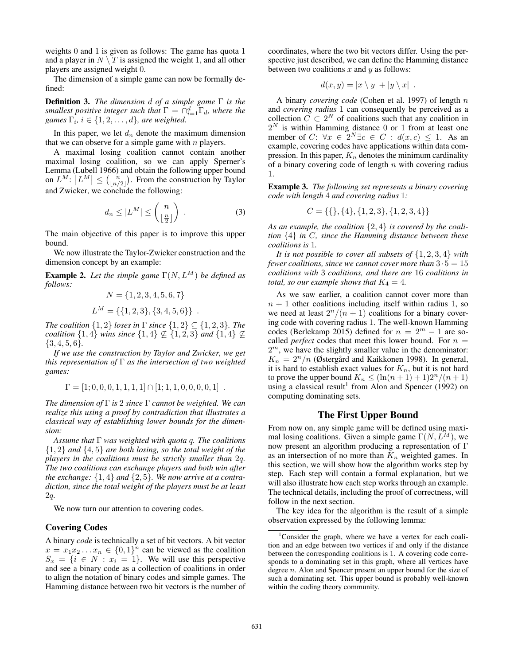weights 0 and 1 is given as follows: The game has quota 1 and a player in  $N \setminus T$  is assigned the weight 1, and all other players are assigned weight 0.

The dimension of a simple game can now be formally defined:

Definition 3. *The dimension* d *of a simple game* Γ *is the smallest positive integer such that*  $\Gamma = \bigcap_{i=1}^d \Gamma_i$ *, where the games*  $\Gamma_i$ *,*  $i \in \{1, 2, \ldots, d\}$ *, are weighted.* 

In this paper, we let  $d_n$  denote the maximum dimension that we can observe for a simple game with  $n$  players.

A maximal losing coalition cannot contain another maximal losing coalition, so we can apply Sperner's Lemma (Lubell 1966) and obtain the following upper bound on  $L^M$ :  $\left| L^M \right| \leq {\binom{n}{\lfloor n/2 \rfloor}}$  $\binom{n}{\lfloor n/2 \rfloor}$ . From the construction by Taylor and Zwicker, we conclude the following:

$$
d_n \le |L^M| \le \binom{n}{\lfloor \frac{n}{2} \rfloor} \tag{3}
$$

The main objective of this paper is to improve this upper bound.

We now illustrate the Taylor-Zwicker construction and the dimension concept by an example:

**Example 2.** Let the simple game  $\Gamma(N, L^M)$  be defined as *follows:*

$$
N = \{1, 2, 3, 4, 5, 6, 7\}
$$
  

$$
L^M = \{\{1, 2, 3\}, \{3, 4, 5, 6\}\}.
$$

*The coalition*  $\{1, 2\}$  *loses in*  $\Gamma$  *since*  $\{1, 2\} \subseteq \{1, 2, 3\}$ *. The coalition*  $\{1, 4\}$  *wins since*  $\{1, 4\} \nsubseteq \{1, 2, 3\}$  *and*  $\{1, 4\} \nsubseteq$ {3, <sup>4</sup>, <sup>5</sup>, <sup>6</sup>}*.*

*If we use the construction by Taylor and Zwicker, we get this representation of* Γ *as the intersection of two weighted games:*

$$
\Gamma = [1; 0, 0, 0, 1, 1, 1, 1] \cap [1; 1, 1, 0, 0, 0, 0, 1] .
$$

*The dimension of* Γ *is* 2 *since* Γ *cannot be weighted. We can realize this using a proof by contradiction that illustrates a classical way of establishing lower bounds for the dimension:*

*Assume that* Γ *was weighted with quota* q*. The coalitions* {1, <sup>2</sup>} *and* {4, <sup>5</sup>} *are both losing, so the total weight of the players in the coalitions must be strictly smaller than* 2q*. The two coalitions can exchange players and both win after the exchange:* {1, <sup>4</sup>} *and* {2, <sup>5</sup>}*. We now arrive at a contradiction, since the total weight of the players must be at least* 2q*.*

We now turn our attention to covering codes.

# Covering Codes

A binary *code* is technically a set of bit vectors. A bit vector  $x = x_1x_2...x_n \in \{0,1\}^n$  can be viewed as the coalition  $S_x = \{i \in N : x_i = 1\}$ . We will use this perspective and see a binary code as a collection of coalitions in order to align the notation of binary codes and simple games. The Hamming distance between two bit vectors is the number of coordinates, where the two bit vectors differ. Using the perspective just described, we can define the Hamming distance between two coalitions  $x$  and  $y$  as follows:

$$
d(x,y) = |x \setminus y| + |y \setminus x|.
$$

A binary *covering code* (Cohen et al. 1997) of length n and *covering radius* 1 can consequently be perceived as a collection  $\tilde{C} \subset 2^N$  of coalitions such that any coalition in  $2^N$  is within Hamming distance 0 or 1 from at least one member of  $C: \forall x \in 2^N \exists c \in C : d(x, c) \leq 1$ . As an example, covering codes have applications within data compression. In this paper,  $K_n$  denotes the minimum cardinality of a binary covering code of length  $n$  with covering radius 1.

Example 3. *The following set represents a binary covering code with length* 4 *and covering radius* 1*:*

$$
C = \{\{\}, \{4\}, \{1, 2, 3\}, \{1, 2, 3, 4\}\}\
$$

*As an example, the coalition* {2, <sup>4</sup>} *is covered by the coalition* {4} *in* <sup>C</sup>*, since the Hamming distance between these coalitions is* 1*.*

*It is not possible to cover all subsets of* {1, <sup>2</sup>, <sup>3</sup>, <sup>4</sup>} *with fewer coalitions, since we cannot cover more than*  $3 \cdot 5 = 15$ *coalitions with* 3 *coalitions, and there are* 16 *coalitions in total, so our example shows that*  $K_4 = 4$ *.* 

As we saw earlier, a coalition cannot cover more than  $n + 1$  other coalitions including itself within radius 1, so we need at least  $2^n/(n + 1)$  coalitions for a binary covering code with covering radius 1. The well-known Hamming codes (Berlekamp 2015) defined for  $n = 2^m - 1$  are socalled *perfect* codes that meet this lower bound. For  $n =$  $2<sup>m</sup>$ , we have the slightly smaller value in the denominator:  $K_n = 2^n/n$  (Østergård and Kaikkonen 1998). In general, it is hard to establish exact values for  $K_n$ , but it is not hard to prove the upper bound  $K_n \leq (\ln(n+1) + 1)2^n/(n+1)$ using a classical result<sup>1</sup> from Alon and Spencer (1992) on computing dominating sets.

# The First Upper Bound

From now on, any simple game will be defined using maximal losing coalitions. Given a simple game  $\Gamma(N, L^M)$ , we now present an algorithm producing a representation of Γ as an intersection of no more than  $K_n$  weighted games. In this section, we will show how the algorithm works step by step. Each step will contain a formal explanation, but we will also illustrate how each step works through an example. The technical details, including the proof of correctness, will follow in the next section.

The key idea for the algorithm is the result of a simple observation expressed by the following lemma:

<sup>&</sup>lt;sup>1</sup>Consider the graph, where we have a vertex for each coalition and an edge between two vertices if and only if the distance between the corresponding coalitions is 1. A covering code corresponds to a dominating set in this graph, where all vertices have degree *n*. Alon and Spencer present an upper bound for the size of such a dominating set. This upper bound is probably well-known within the coding theory community.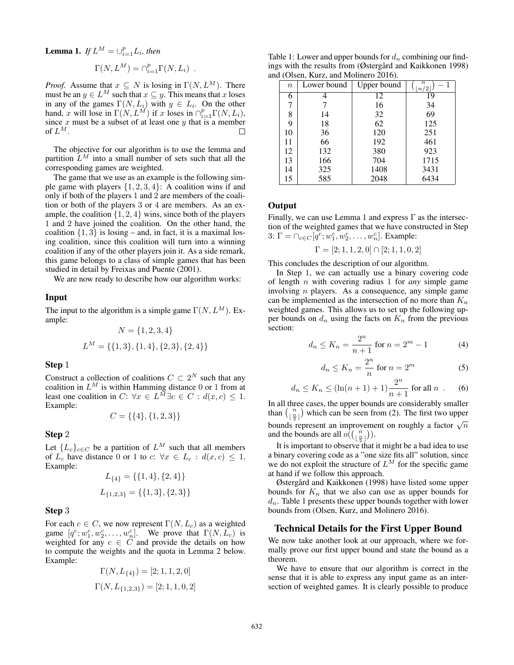**Lemma 1.** *If*  $L^M = \bigcup_{i=1}^p L_i$ *, then* 

$$
\Gamma(N, L^M) = \bigcap_{i=1}^p \Gamma(N, L_i) .
$$

*Proof.* Assume that  $x \subseteq N$  is losing in  $\Gamma(N, L^M)$ . There must be an  $y \in L^M$  such that  $x \subseteq y$ . This means that x loses in any of the games  $\Gamma(N, L_i)$  with  $y \in L_i$ . On the other hand, x will lose in  $\Gamma(N, L^M)$  if x loses in  $\cap_{i=1}^p \Gamma(N, L_i)$ , since  $x$  must be a subset of at least one  $y$  that is a member of  $L^M$ .

The objective for our algorithm is to use the lemma and partition  $L^M$  into a small number of sets such that all the corresponding games are weighted.

The game that we use as an example is the following simple game with players  $\{1, 2, 3, 4\}$ : A coalition wins if and only if both of the players 1 and 2 are members of the coalition or both of the players 3 or 4 are members. As an example, the coalition  $\{1, 2, 4\}$  wins, since both of the players 1 and 2 have joined the coalition. On the other hand, the coalition  $\{1, 3\}$  is losing – and, in fact, it is a maximal losing coalition, since this coalition will turn into a winning coalition if any of the other players join it. As a side remark, this game belongs to a class of simple games that has been studied in detail by Freixas and Puente (2001).

We are now ready to describe how our algorithm works:

#### Input

The input to the algorithm is a simple game  $\Gamma(N, L^M)$ . Example:

$$
N = \{1, 2, 3, 4\}
$$
  

$$
L^M = \{\{1, 3\}, \{1, 4\}, \{2, 3\}, \{2, 4\}\}
$$

#### Step 1

Construct a collection of coalitions  $C \subset 2^N$  such that any coalition in  $L^M$  is within Hamming distance 0 or 1 from at least one coalition in  $C: \forall x \in L^{\tilde{M}} \exists c \in C : d(x, c) \leq 1.$ Example:

$$
C=\{\{4\},\{1,2,3\}\}
$$

# Step 2

Let  ${L_c}_{c \in C}$  be a partition of  $L^M$  such that all members of  $L_c$  have distance 0 or 1 to  $c: \forall x \in L_c : d(x, c) \leq 1$ . Example:

$$
L_{\{4\}} = \{\{1,4\},\{2,4\}\}\
$$

$$
L_{\{1,2,3\}} = \{\{1,3\},\{2,3\}\}\
$$

#### Step 3

For each  $c \in C$ , we now represent  $\Gamma(N, L_c)$  as a weighted game  $[q^c; w_1^c, w_2^c, \dots, w_n^c]$ . We prove that  $\Gamma(N, L_c)$  is weighted for any  $c \in \overline{C}$  and provide the details on how to compute the weights and the quota in Lemma 2 below. Example:

$$
\begin{aligned} \Gamma(N,L_{\{4\}})=[2;1,1,2,0] \\ \Gamma(N,L_{\{1,2,3\}})=[2;1,1,0,2] \end{aligned}
$$

Table 1: Lower and upper bounds for  $d_n$  combining our findings with the results from ( $\emptyset$ stergård and Kaikkonen 1998) and (Olsen, Kurz, and Molinero 2016).

|  | $\boldsymbol{n}$ | Lower bound | Upper bound | $\boldsymbol{n}$<br>n/2 |
|--|------------------|-------------|-------------|-------------------------|
|  | 6                |             | 12          | 19                      |
|  | 7                |             | 16          | 34                      |
|  | 8                | 14          | 32          | 69                      |
|  | 9                | 18          | 62          | 125                     |
|  | 10               | 36          | 120         | 251                     |
|  | 11               | 66          | 192         | 461                     |
|  | 12               | 132         | 380         | 923                     |
|  | 13               | 166         | 704         | 1715                    |
|  | 14               | 325         | 1408        | 3431                    |
|  | 15               | 585         | 2048        | 6434                    |
|  |                  |             |             |                         |

# Output

Finally, we can use Lemma 1 and express  $\Gamma$  as the intersection of the weighted games that we have constructed in Step 3:  $\Gamma = \bigcap_{c \in C} [q^c; w_1^c, w_2^c, \dots, w_n^c]$ . Example:

$$
\Gamma=[2;1,1,2,0]\cap[2;1,1,0,2]
$$

This concludes the description of our algorithm.

In Step 1, we can actually use a binary covering code of length n with covering radius 1 for *any* simple game involving n players. As a consequence, any simple game can be implemented as the intersection of no more than  $K_n$ weighted games. This allows us to set up the following upper bounds on  $d_n$  using the facts on  $K_n$  from the previous section:

$$
d_n \le K_n = \frac{2^n}{n+1} \text{ for } n = 2^m - 1 \tag{4}
$$

$$
d_n \le K_n = \frac{2^n}{n} \text{ for } n = 2^m \tag{5}
$$

$$
d_n \le K_n \le (\ln(n+1) + 1)\frac{2^n}{n+1} \text{ for all } n \tag{6}
$$

In all three cases, the upper bounds are considerably smaller than  $\frac{n}{\ln n}$  $\binom{n}{\frac{n}{2}}$  which can be seen from (2). The first two upper bounds represent an improvement on roughly a factor  $\sqrt{n}$ and the bounds are all  $o((\frac{n}{n})$  $\binom{n}{\frac{n}{2}}$ ).

It is important to observe that it might be a bad idea to use a binary covering code as a "one size fits all" solution, since we do not exploit the structure of  $L^M$  for the specific game at hand if we follow this approach.

Østergård and Kaikkonen (1998) have listed some upper bounds for  $K_n$  that we also can use as upper bounds for  $d_n$ . Table 1 presents these upper bounds together with lower bounds from (Olsen, Kurz, and Molinero 2016).

#### Technical Details for the First Upper Bound

We now take another look at our approach, where we formally prove our first upper bound and state the bound as a theorem.

We have to ensure that our algorithm is correct in the sense that it is able to express any input game as an intersection of weighted games. It is clearly possible to produce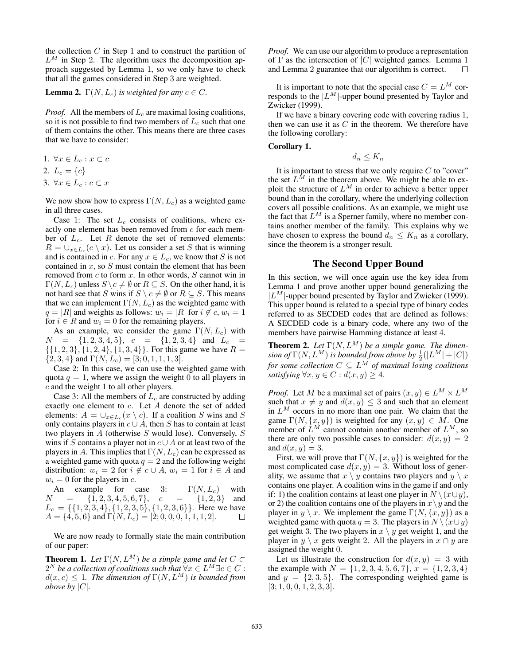the collection  $C$  in Step 1 and to construct the partition of  $L^M$  in Step 2. The algorithm uses the decomposition approach suggested by Lemma 1, so we only have to check that all the games considered in Step 3 are weighted.

### **Lemma 2.**  $\Gamma(N, L_c)$  *is weighted for any*  $c \in C$ *.*

*Proof.* All the members of  $L_c$  are maximal losing coalitions, so it is not possible to find two members of  $L_c$  such that one of them contains the other. This means there are three cases that we have to consider:

1.  $\forall x \in L_c : x \subset c$ 

$$
2. \, L_c = \{c\}
$$

3.  $\forall x \in L_c : c \subset x$ 

We now show how to express  $\Gamma(N,L_c)$  as a weighted game in all three cases.

Case 1: The set  $L_c$  consists of coalitions, where exactly one element has been removed from c for each member of  $L_c$ . Let R denote the set of removed elements:  $R = \bigcup_{x \in L_c} (c \setminus x)$ . Let us consider a set S that is winning and is contained in c. For any  $x \in L_c$ , we know that S is not contained in  $x$ , so  $S$  must contain the element that has been removed from  $c$  to form  $x$ . In other words,  $S$  cannot win in  $\Gamma(N,L_c)$  unless  $S \backslash c \neq \emptyset$  or  $R \subseteq S$ . On the other hand, it is not hard see that S wins if  $S \setminus c \neq \emptyset$  or  $R \subseteq S$ . This means that we can implement  $\Gamma(N,L_c)$  as the weighted game with  $q = |R|$  and weights as follows:  $w_i = |R|$  for  $i \notin c$ ,  $w_i = 1$ for  $i \in R$  and  $w_i = 0$  for the remaining players.

As an example, we consider the game  $\Gamma(N,L_c)$  with  $N = \{1, 2, 3, 4, 5\}, c = \{1, 2, 3, 4\}$  and  $L_c =$  $\{\{1, 2, 3\}, \{1, 2, 4\}, \{1, 3, 4\}\}.$  For this game we have  $R =$  ${2, 3, 4}$  and  $\Gamma(N, L_c) = [3; 0, 1, 1, 1, 3].$ 

Case 2: In this case, we can use the weighted game with quota  $q = 1$ , where we assign the weight 0 to all players in c and the weight 1 to all other players.

Case 3: All the members of  $L_c$  are constructed by adding exactly one element to c. Let A denote the set of added elements:  $A = \bigcup_{x \in L_c} (x \setminus c)$ . If a coalition S wins and S only contains players in  $c \cup A$ , then S has to contain at least two players in  $A$  (otherwise  $S$  would lose). Conversely,  $S$ wins if S contains a player not in  $c \cup A$  or at least two of the players in A. This implies that  $\Gamma(N,L_c)$  can be expressed as a weighted game with quota  $q = 2$  and the following weight distribution:  $w_i = 2$  for  $i \notin c \cup A$ ,  $w_i = 1$  for  $i \in A$  and  $w_i = 0$  for the players in c.

An example for case 3:  $\Gamma(N, L_c)$  with  $N = \{1, 2, 3, 4, 5, 6, 7\}, \quad c = \{1, 2, 3\}$  and  $L_c = \{ \{1, 2, 3, 4\}, \{1, 2, 3, 5\}, \{1, 2, 3, 6\} \}.$  Here we have  $A = \{\hat{4}, 5, 6\}$  and  $\Gamma(N, L_c) = [2, 0, 0, 0, 1, 1, 1, 2].$ 

We are now ready to formally state the main contribution of our paper:

**Theorem 1.** Let  $\Gamma(N, L^M)$  be a simple game and let  $C \subset$  $2^N$  *be a collection of coalitions such that*  $\forall x \in L^M \exists c \in C$ :  $d(x, c) \leq 1$ *. The dimension of*  $\Gamma(N, L^M)$  *is bounded from above by*  $|C|$ *.* 

*Proof.* We can use our algorithm to produce a representation of  $\Gamma$  as the intersection of  $|C|$  weighted games. Lemma 1 and Lemma 2 guarantee that our algorithm is correct. and Lemma 2 guarantee that our algorithm is correct.

It is important to note that the special case  $C = L^M$  corresponds to the  $|L^M|$ -upper bound presented by Taylor and Zwicker (1999).

If we have a binary covering code with covering radius 1, then we can use it as  $C$  in the theorem. We therefore have the following corollary:

# Corollary 1.

$$
d_n \leq K_n
$$

It is important to stress that we only require  $C$  to "cover" the set  $L^M$  in the theorem above. We might be able to exploit the structure of  $L^M$  in order to achieve a better upper bound than in the corollary, where the underlying collection covers all possible coalitions. As an example, we might use the fact that  $L^M$  is a Sperner family, where no member contains another member of the family. This explains why we have chosen to express the bound  $d_n \leq K_n$  as a corollary, since the theorem is a stronger result.

# The Second Upper Bound

In this section, we will once again use the key idea from Lemma 1 and prove another upper bound generalizing the  $|L^M|$ -upper bound presented by Taylor and Zwicker (1999). This upper bound is related to a special type of binary codes referred to as SECDED codes that are defined as follows: A SECDED code is a binary code, where any two of the members have pairwise Hamming distance at least 4.

**Theorem 2.** Let  $\Gamma(N, L^M)$  be a simple game. The dimen- $\sin$  of  $\Gamma(N,L^{\bar{M}})$  *is bounded from above by*  $\frac{1}{2}(|L^{\bar{M}}|+|C|)$ *for some collection*  $C \subseteq L^M$  *of maximal losing coalitions satisfying*  $\forall x, y \in C : d(x, y) \geq 4$ .

*Proof.* Let M be a maximal set of pairs  $(x, y) \in L^M \times L^M$ such that  $x \neq y$  and  $d(x, y) \leq 3$  and such that an element in  $L^M$  occurs in no more than one pair. We claim that the game  $\Gamma(N, \{x, y\})$  is weighted for any  $(x, y) \in M$ . One member of  $L^M$  cannot contain another member of  $L^M$ , so there are only two possible cases to consider:  $d(x, y) = 2$ and  $d(x, y) = 3$ .

First, we will prove that  $\Gamma(N, \{x, y\})$  is weighted for the most complicated case  $d(x, y) = 3$ . Without loss of generality, we assume that  $x \setminus y$  contains two players and  $y \setminus x$ contains one player. A coalition wins in the game if and only if: 1) the coalition contains at least one player in  $N \setminus (x \cup y)$ , or 2) the coalition contains one of the players in  $x \ y$  and the player in  $y \setminus x$ . We implement the game  $\Gamma(N, \{x, y\})$  as a weighted game with quota  $q = 3$ . The players in  $N \setminus (x \cup y)$ get weight 3. The two players in  $x \setminus y$  get weight 1, and the player in  $y \setminus x$  gets weight 2. All the players in  $x \cap y$  are assigned the weight 0.

Let us illustrate the construction for  $d(x, y) = 3$  with the example with  $N = \{1, 2, 3, 4, 5, 6, 7\}, x = \{1, 2, 3, 4\}$ and  $y = \{2, 3, 5\}$ . The corresponding weighted game is  $[3; 1, 0, 0, 1, 2, 3, 3].$